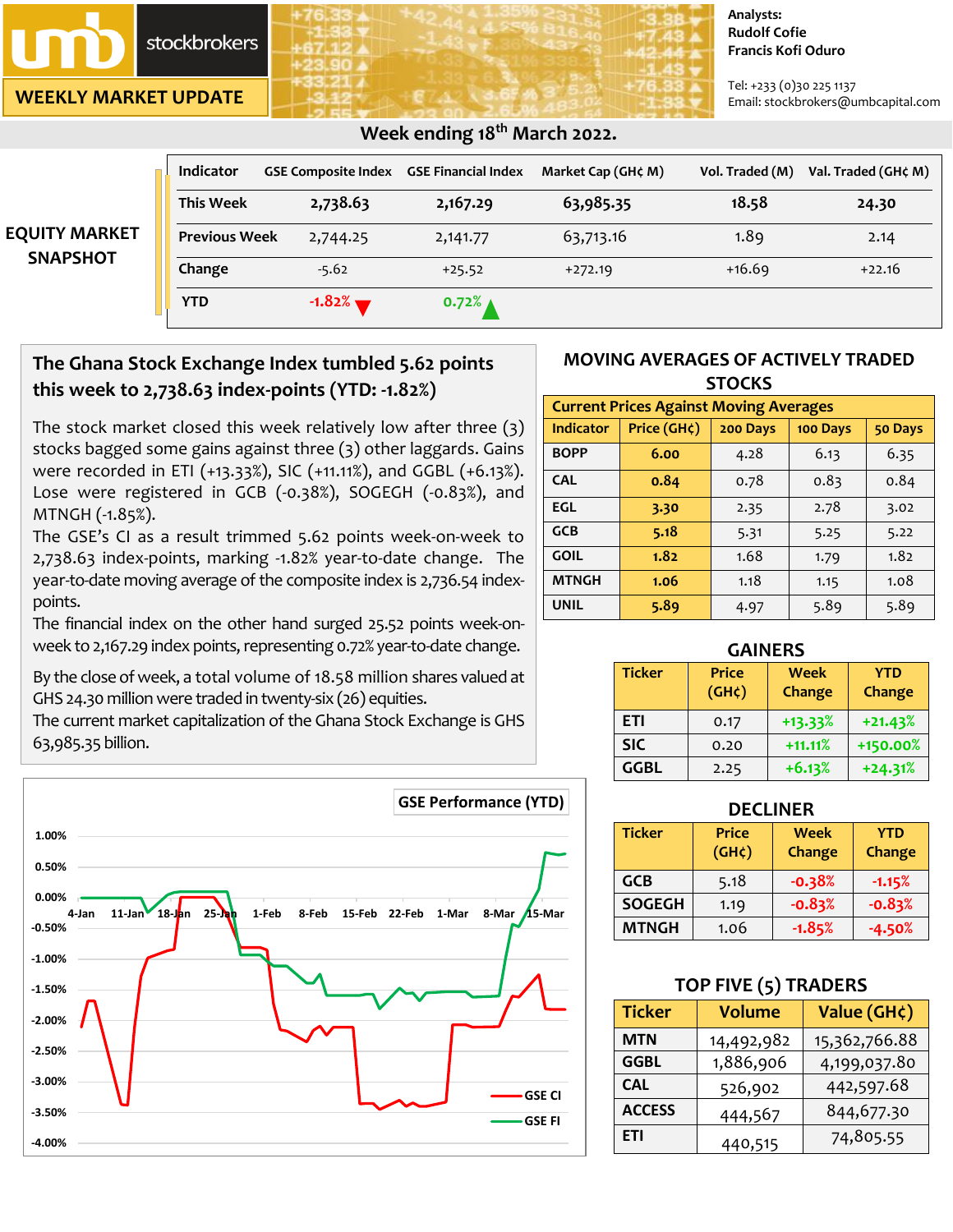stockbrokers

**WEEKLY MARKET UPDATE**

#### **Analysts: Rudolf Cofie Francis Kofi Oduro**

Tel: +233 (0)30 225 1137 Email: stockbrokers@umbcapital.com

|                      | <b>Indicator</b>     | <b>GSE Composite Index</b> | <b>GSE Financial Index</b> | Market Cap (GH¢ M) | Vol. Traded (M) | Val. Traded (GH¢ M) |
|----------------------|----------------------|----------------------------|----------------------------|--------------------|-----------------|---------------------|
|                      | <b>This Week</b>     | 2,738.63                   | 2,167.29                   | 63,985.35          | 18.58           | 24.30               |
| <b>EQUITY MARKET</b> | <b>Previous Week</b> | 2,744.25                   | 2,141.77                   | 63,713.16          | 1.89            | 2.14                |
| <b>SNAPSHOT</b>      | Change               | $-5.62$                    | $+25.52$                   | $+272.19$          | $+16.69$        | $+22.16$            |
|                      | <b>YTD</b>           | $-1.82%$                   | $0.72%$ $\triangle$        |                    |                 |                     |

# **The Ghana Stock Exchange Index tumbled 5.62 points this week to 2,738.63 index-points (YTD: -1.82%)**

The stock market closed this week relatively low after three (3) stocks bagged some gains against three (3) other laggards. Gains were recorded in ETI (+13.33%), SIC (+11.11%), and GGBL (+6.13%). Lose were registered in GCB (-0.38%), SOGEGH (-0.83%), and MTNGH (-1.85%).

The GSE's CI as a result trimmed 5.62 points week-on-week to 2,738.63 index-points, marking -1.82% year-to-date change. The year-to-date moving average of the composite index is 2,736.54 indexpoints.

The financial index on the other hand surged 25.52 points week-onweek to 2,167.29 index points, representing 0.72% year-to-date change.

By the close of week, a total volume of 18.58 million shares valued at GHS 24.30 million were traded in twenty-six (26) equities.

The current market capitalization of the Ghana Stock Exchange is GHS 63,985.35 billion.



### **MOVING AVERAGES OF ACTIVELY TRADED STOCKS**

| <b>Current Prices Against Moving Averages</b> |             |          |          |         |  |
|-----------------------------------------------|-------------|----------|----------|---------|--|
| <b>Indicator</b>                              | Price (GH¢) | 200 Days | 100 Days | 50 Days |  |
| <b>BOPP</b>                                   | 6.00        | 4.28     | 6.13     | 6.35    |  |
| <b>CAL</b>                                    | 0.84        | 0.78     | 0.83     | 0.84    |  |
| EGL                                           | 3.30        | 2.35     | 2.78     | 3.02    |  |
| <b>GCB</b>                                    | 5.18        | 5.31     | 5.25     | 5.22    |  |
| <b>GOIL</b>                                   | 1.82        | 1.68     | 1.79     | 1.82    |  |
| <b>MTNGH</b>                                  | 1.06        | 1.18     | 1.15     | 1.08    |  |
| <b>UNIL</b>                                   | 5.89        | 4.97     | 5.89     | 5.89    |  |

| <b>GAINERS</b> |                                           |           |           |  |  |  |
|----------------|-------------------------------------------|-----------|-----------|--|--|--|
| <b>Ticker</b>  | <b>Price</b><br><b>Week</b><br><b>YTD</b> |           |           |  |  |  |
|                | (GH <sub>c</sub> )                        | Change    | Change    |  |  |  |
| ETI            | 0.17                                      | $+13.33%$ | $+21.43%$ |  |  |  |
| <b>SIC</b>     | 0.20                                      | $+11.11%$ | +150.00%  |  |  |  |
| <b>GGBL</b>    | 2.25                                      | $+6.13%$  | $+24.31%$ |  |  |  |

| <b>Ticker</b> | <b>Price</b><br>(GH <sub>c</sub> ) | <b>Week</b><br>Change | <b>YTD</b><br>Change |
|---------------|------------------------------------|-----------------------|----------------------|
| <b>GCB</b>    | 5.18                               | $-0.38%$              | $-1.15%$             |
| <b>SOGEGH</b> | 1.19                               | $-0.83%$              | $-0.83%$             |
| <b>MTNGH</b>  | 1.06                               | $-1.85%$              | $-4.50%$             |

## **TOP FIVE (5) TRADERS**

| <b>Ticker</b> | <b>Volume</b>             | Value (GH¢)   |
|---------------|---------------------------|---------------|
| MTN           | 14,492,982                | 15,362,766.88 |
| <b>GGBL</b>   | 1,886,906<br>4,199,037.80 |               |
| <b>CAL</b>    | 526,902                   | 442,597.68    |
| <b>ACCESS</b> | 444,567                   | 844,677.30    |
| ETI           | 440,515                   | 74,805.55     |

# **Week ending 18th March 2022.**